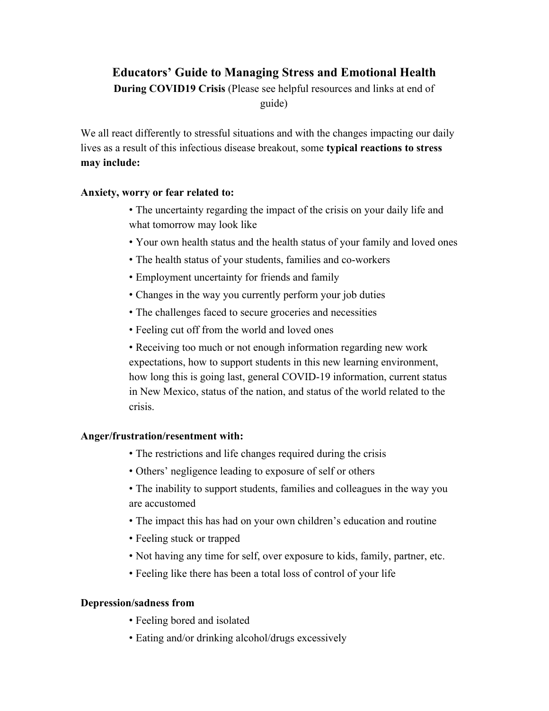# **Educators' Guide to Managing Stress and Emotional Health**

**During COVID19 Crisis** (Please see helpful resources and links at end of guide)

We all react differently to stressful situations and with the changes impacting our daily lives as a result of this infectious disease breakout, some **typical reactions to stress may include:**

### **Anxiety, worry or fear related to:**

- The uncertainty regarding the impact of the crisis on your daily life and what tomorrow may look like
- Your own health status and the health status of your family and loved ones
- The health status of your students, families and co-workers
- Employment uncertainty for friends and family
- Changes in the way you currently perform your job duties
- The challenges faced to secure groceries and necessities
- Feeling cut off from the world and loved ones

• Receiving too much or not enough information regarding new work expectations, how to support students in this new learning environment, how long this is going last, general COVID-19 information, current status in New Mexico, status of the nation, and status of the world related to the crisis.

## **Anger/frustration/resentment with:**

- The restrictions and life changes required during the crisis
- Others' negligence leading to exposure of self or others
- The inability to support students, families and colleagues in the way you are accustomed
- The impact this has had on your own children's education and routine
- Feeling stuck or trapped
- Not having any time for self, over exposure to kids, family, partner, etc.
- Feeling like there has been a total loss of control of your life

## **Depression/sadness from**

- Feeling bored and isolated
- Eating and/or drinking alcohol/drugs excessively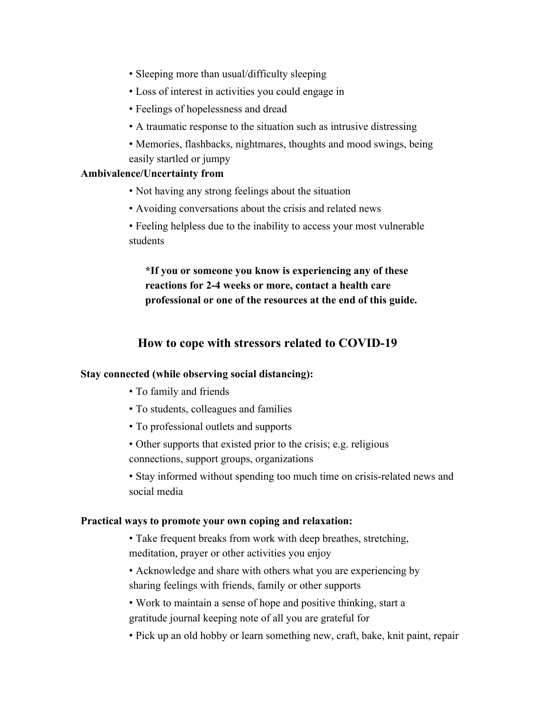- Sleeping more than usual/difficulty sleeping
- Loss of interest in activities you could engage in
- Feelings of hopelessness and dread
- A traumatic response to the situation such as intrusive distressing
- Memories, flashbacks, nightmares, thoughts and mood swings, being easily startled or jumpy

### **Ambivalence/Uncertainty from**

- Not having any strong feelings about the situation
- Avoiding conversations about the crisis and related news
- Feeling helpless due to the inability to access your most vulnerable students

**\*If you or someone you know is experiencing any of these reactions for 2-4 weeks or more, contact a health care professional or one of the resources at the end of this guide.**

# **How to cope with stressors related to COVID-19**

#### **Stay connected (while observing social distancing):**

- To family and friends
- To students, colleagues and families
- To professional outlets and supports
- Other supports that existed prior to the crisis; e.g. religious connections, support groups, organizations
- Stay informed without spending too much time on crisis-related news and social media

#### **Practical ways to promote your own coping and relaxation:**

- Take frequent breaks from work with deep breathes, stretching, meditation, prayer or other activities you enjoy
- Acknowledge and share with others what you are experiencing by sharing feelings with friends, family or other supports
- Work to maintain a sense of hope and positive thinking, start a gratitude journal keeping note of all you are grateful for
- Pick up an old hobby or learn something new, craft, bake, knit paint, repair